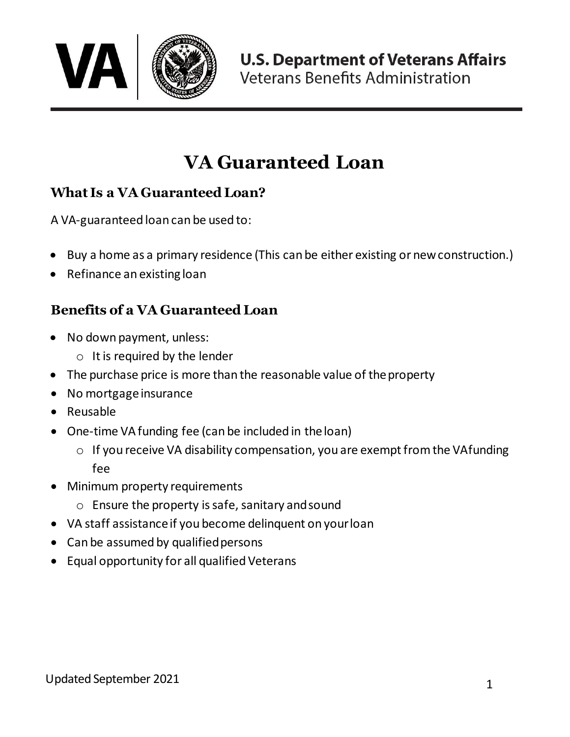

# **VA Guaranteed Loan**

### **What Is a VA Guaranteed Loan?**

A VA-guaranteed loan can be used to:

- Buy a home as a primary residence (This can be either existing or newconstruction.)
- Refinance an existing loan

## **Benefits of a VA Guaranteed Loan**

- No down payment, unless:
	- o It is required by the lender
- The purchase price is more than the reasonable value of the property
- No mortgage insurance
- Reusable
- One-time VA funding fee (can be included in theloan)
	- $\circ$  If you receive VA disability compensation, you are exempt from the VAfunding fee
- Minimum property requirements
	- o Ensure the property is safe, sanitary andsound
- VA staff assistance if you become delinquent on yourloan
- Can be assumed by qualified persons
- Equal opportunity for all qualified Veterans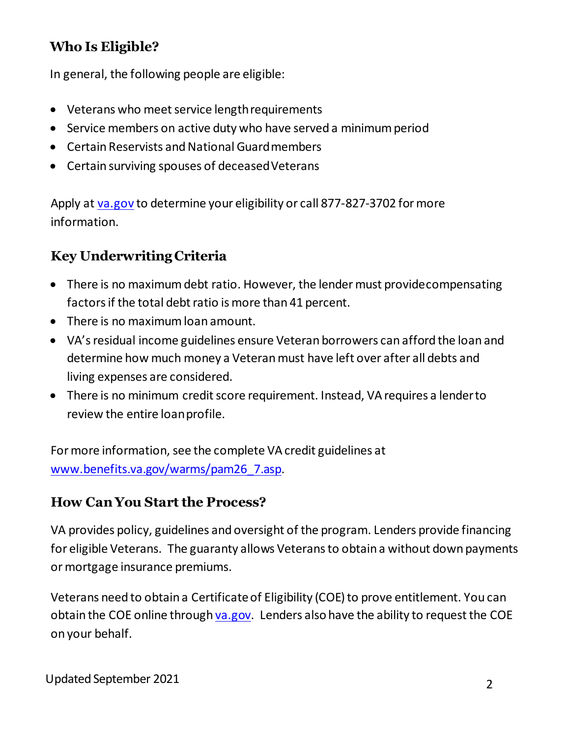### **Who Is Eligible?**

In general, the following people are eligible:

- Veterans who meet service lengthrequirements
- Service members on active duty who have served a minimum period
- Certain Reservists and National Guardmembers
- Certain surviving spouses of deceased Veterans

Apply at [va.gov](https://www.ebenefits.va.gov/) to determine your eligibility or call 877-827-3702 for more information.

## **Key Underwriting Criteria**

- There is no maximum debt ratio. However, the lender must providecompensating factors if the total debt ratio is more than 41 percent.
- There is no maximum loan amount.
- VA's residual income guidelines ensure Veteran borrowers can afford the loan and determine how much money a Veteran must have left over after all debts and living expenses are considered.
- There is no minimum credit score requirement. Instead, VA requires a lenderto review the entire loanprofile.

For more information, see the complete VA credit guidelines at [www.benefits.va.gov/warms/pam26\\_7.asp.](https://www.benefits.va.gov/warms/pam26_7.asp) 

#### **How Can You Start the Process?**

VA provides policy, guidelines and oversight of the program. Lenders provide financing for eligible Veterans. The guaranty allows Veterans to obtain a without down payments or mortgage insurance premiums.

Veterans need to obtain a Certificate of Eligibility (COE) to prove entitlement. You can obtain the COE online through [va.gov](http://www.va.gov/). Lenders also have the ability to request the COE on your behalf.